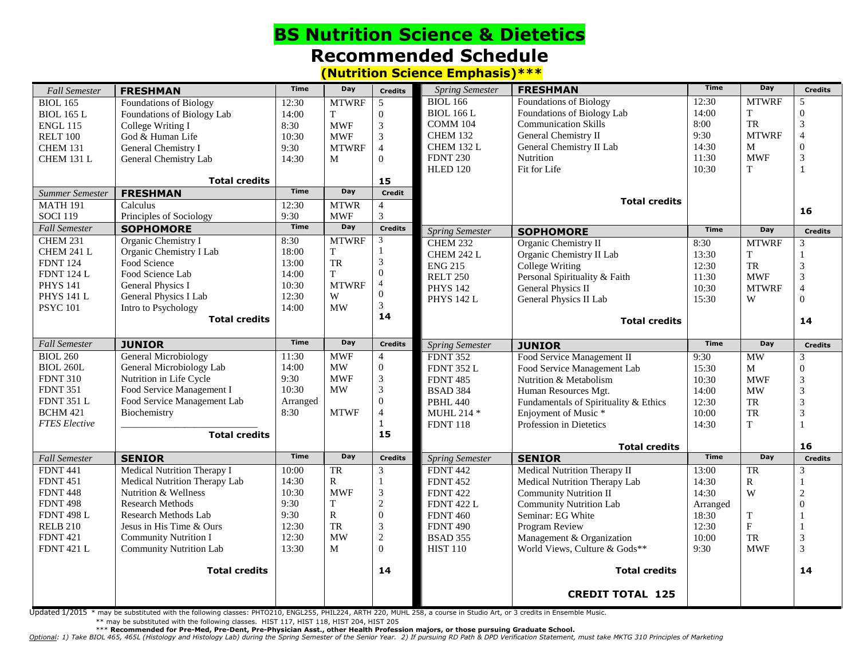## **BS Nutrition Science & Dietetics Recommended Schedule (Nutrition Science Emphasis)\*\*\***

| <b>Fall Semester</b>               | <b>FRESHMAN</b>                     | <b>Time</b>   | Day                       | <b>Credits</b>                   | <b>Spring Semester</b>             | <b>FRESHMAN</b>                       | <b>Time</b>    | Day              | <b>Credits</b>       |
|------------------------------------|-------------------------------------|---------------|---------------------------|----------------------------------|------------------------------------|---------------------------------------|----------------|------------------|----------------------|
| <b>BIOL 165</b>                    | Foundations of Biology              | 12:30         | <b>MTWRF</b>              | 5                                | <b>BIOL 166</b>                    | <b>Foundations of Biology</b>         | 12:30          | <b>MTWRF</b>     | 5                    |
| <b>BIOL 165 L</b>                  | Foundations of Biology Lab          | 14:00         | T                         | $\boldsymbol{0}$                 | <b>BIOL 166 L</b>                  | Foundations of Biology Lab            | 14:00          | T                | $\Omega$             |
| <b>ENGL 115</b>                    | College Writing I                   | 8:30          | <b>MWF</b>                | $\sqrt{3}$                       | COMM 104                           | <b>Communication Skills</b>           | 8:00           | <b>TR</b>        | 3                    |
| RELT 100                           | God & Human Life                    | 10:30         | <b>MWF</b>                | $\overline{3}$                   | <b>CHEM 132</b>                    | General Chemistry II                  | 9:30           | <b>MTWRF</b>     | $\overline{4}$       |
| CHEM 131                           | General Chemistry I                 | 9:30          | <b>MTWRF</b>              | $\overline{4}$                   | CHEM 132 L                         | General Chemistry II Lab              | 14:30          | M                | $\theta$             |
| CHEM 131 L                         | General Chemistry Lab               | 14:30         | M                         | $\Omega$                         | <b>FDNT 230</b>                    | Nutrition                             | 11:30          | <b>MWF</b>       | 3                    |
|                                    |                                     |               |                           |                                  | <b>HLED 120</b>                    | Fit for Life                          | 10:30          | T                | $\mathbf{1}$         |
|                                    | <b>Total credits</b>                |               |                           | 15                               |                                    |                                       |                |                  |                      |
| Summer Semester                    | <b>FRESHMAN</b>                     | <b>Time</b>   | Day                       | Credit                           |                                    | <b>Total credits</b>                  |                |                  |                      |
| <b>MATH 191</b><br><b>SOCI 119</b> | Calculus<br>Principles of Sociology | 12:30<br>9:30 | <b>MTWR</b><br><b>MWF</b> | $\overline{4}$<br>$\overline{3}$ |                                    |                                       |                |                  | 16                   |
| <b>Fall Semester</b>               | <b>SOPHOMORE</b>                    | <b>Time</b>   | Day                       | <b>Credits</b>                   |                                    |                                       | <b>Time</b>    | Day              | <b>Credits</b>       |
| <b>CHEM 231</b>                    | Organic Chemistry I                 | 8:30          | <b>MTWRF</b>              | 3                                | <b>Spring Semester</b>             | <b>SOPHOMORE</b>                      |                |                  |                      |
| CHEM 241 L                         | Organic Chemistry I Lab             | 18:00         | T                         | $\mathbf{1}$                     | <b>CHEM 232</b>                    | Organic Chemistry II                  | 8:30           | <b>MTWRF</b>     | 3                    |
| <b>FDNT 124</b>                    | Food Science                        | 13:00         | TR                        | $\mathfrak{Z}$                   | CHEM 242 L                         | Organic Chemistry II Lab              | 13:30          | T                |                      |
| <b>FDNT 124 L</b>                  | Food Science Lab                    | 14:00         | T                         | $\overline{0}$                   | <b>ENG 215</b>                     | College Writing                       | 12:30          | TR<br><b>MWF</b> | 3                    |
| <b>PHYS 141</b>                    | General Physics I                   | 10:30         | <b>MTWRF</b>              | $\overline{4}$                   | <b>RELT 250</b>                    | Personal Spirituality & Faith         | 11:30          | <b>MTWRF</b>     | 3<br>$\overline{4}$  |
| <b>PHYS 141 L</b>                  | General Physics I Lab               | 12:30         | W                         | $\mathbf{0}$                     | <b>PHYS 142</b>                    | <b>General Physics II</b>             | 10:30          |                  | $\Omega$             |
| <b>PSYC 101</b>                    | Intro to Psychology                 | 14:00         | MW                        | 3                                | <b>PHYS 142 L</b>                  | General Physics II Lab                | 15:30          | W                |                      |
|                                    | <b>Total credits</b>                |               |                           | 14                               |                                    | <b>Total credits</b>                  |                |                  | 14                   |
|                                    |                                     |               |                           |                                  |                                    |                                       |                |                  |                      |
| <b>Fall Semester</b>               | <b>JUNIOR</b>                       | <b>Time</b>   | Day                       | <b>Credits</b>                   | <b>Spring Semester</b>             | <b>JUNIOR</b>                         | <b>Time</b>    | Day              | <b>Credits</b>       |
| <b>BIOL 260</b>                    | <b>General Microbiology</b>         | 11:30         | <b>MWF</b>                | $\overline{4}$                   | <b>FDNT 352</b>                    | Food Service Management II            | 9:30           | <b>MW</b>        | 3                    |
| <b>BIOL 260L</b>                   | General Microbiology Lab            | 14:00         | <b>MW</b>                 | $\boldsymbol{0}$                 | <b>FDNT 352 L</b>                  | Food Service Management Lab           | 15:30          | M                | $\theta$             |
| <b>FDNT 310</b>                    | Nutrition in Life Cycle             | 9:30          | <b>MWF</b>                | $\sqrt{3}$                       | <b>FDNT 485</b>                    | Nutrition & Metabolism                | 10:30          | <b>MWF</b>       | 3                    |
| <b>FDNT 351</b>                    | Food Service Management I           | 10:30         | <b>MW</b>                 | 3                                | <b>BSAD 384</b>                    | Human Resources Mgt.                  | 14:00          | <b>MW</b>        | 3                    |
| <b>FDNT 351 L</b>                  | Food Service Management Lab         | Arranged      |                           | $\overline{0}$                   | <b>PBHL 440</b>                    | Fundamentals of Spirituality & Ethics | 12:30          | TR               | $\mathcal{R}$        |
| <b>BCHM 421</b>                    | Biochemistry                        | 8:30          | <b>MTWF</b>               | $\overline{4}$                   | <b>MUHL 214 *</b>                  | Enjoyment of Music <sup>*</sup>       | 10:00          | <b>TR</b>        | $\mathfrak{Z}$       |
| <b>FTES</b> Elective               |                                     |               |                           | $\mathbf{1}$                     | <b>FDNT 118</b>                    | Profession in Dietetics               | 14:30          | T                |                      |
|                                    | <b>Total credits</b>                |               |                           | 15                               |                                    |                                       |                |                  |                      |
| <b>Fall Semester</b>               | <b>SENIOR</b>                       | <b>Time</b>   | Day                       | <b>Credits</b>                   | <b>Spring Semester</b>             | <b>Total credits</b><br><b>SENIOR</b> | <b>Time</b>    | Day              | 16<br><b>Credits</b> |
| <b>FDNT 441</b>                    | Medical Nutrition Therapy I         | 10:00         | TR                        | $\mathfrak{Z}$                   | <b>FDNT 442</b>                    | <b>Medical Nutrition Therapy II</b>   | 13:00          | <b>TR</b>        | 3                    |
| <b>FDNT 451</b>                    | Medical Nutrition Therapy Lab       | 14:30         | $\mathbf R$               | $\mathbf{1}$                     | <b>FDNT 452</b>                    | Medical Nutrition Therapy Lab         | 14:30          | $\mathbb{R}$     |                      |
| <b>FDNT 448</b>                    | Nutrition & Wellness                | 10:30         | <b>MWF</b>                | 3                                | <b>FDNT 422</b>                    | <b>Community Nutrition II</b>         | 14:30          | W                | $\mathcal{D}$        |
| <b>FDNT 498</b>                    | <b>Research Methods</b>             | 9:30          | $\mathbf T$               | $\sqrt{2}$                       | <b>FDNT 422 L</b>                  | <b>Community Nutrition Lab</b>        | Arranged       |                  | $\Omega$             |
| <b>FDNT 498 L</b>                  | Research Methods Lab                | 9:30          | $\mathbb{R}$              | $\mathbf{0}$                     | <b>FDNT 460</b>                    | Seminar: EG White                     | 18:30          | T                |                      |
| <b>RELB 210</b>                    | Jesus in His Time & Ours            | 12:30         | TR                        | $\ensuremath{\mathfrak{Z}}$      |                                    | Program Review                        |                | F                |                      |
| <b>FDNT 421</b>                    | <b>Community Nutrition I</b>        | 12:30         | <b>MW</b>                 | $\sqrt{2}$                       | <b>FDNT 490</b><br><b>BSAD 355</b> | Management & Organization             | 12:30<br>10:00 | <b>TR</b>        | 3                    |
| <b>FDNT 421 L</b>                  | <b>Community Nutrition Lab</b>      | 13:30         | M                         | $\Omega$                         | <b>HIST 110</b>                    | World Views, Culture & Gods**         | 9:30           | <b>MWF</b>       | 3                    |
|                                    |                                     |               |                           |                                  |                                    |                                       |                |                  |                      |
|                                    | <b>Total credits</b>                |               |                           | 14                               |                                    | <b>Total credits</b>                  |                |                  | 14                   |
|                                    |                                     |               |                           |                                  |                                    |                                       |                |                  |                      |
|                                    |                                     |               |                           |                                  |                                    | <b>CREDIT TOTAL 125</b>               |                |                  |                      |

Updated 1/2015 \* may be substituted with the following classes: PHTO210, ENGL255, PHIL224, ARTH 220, MUHL 258, a course in Studio Art, or 3 credits in Ensemble Music.

\*\* may be substituted with the following classes. HIST 117, HIST 118, HIST 204, HIST 205<br>\*\*\* Recommended for Pre-Med, Pre-Dent, Pre-Physician Asst., other Health Profession majors, or those pursuing Graduate School.

Optional: 1) Take BIOL 465, 465L (Histology and Histology Lab) during the Spring Semester of the Senior Year. 2) If pursuing RD Path & DPD Verification Statement, must take MKTG 310 Principles of Marketing